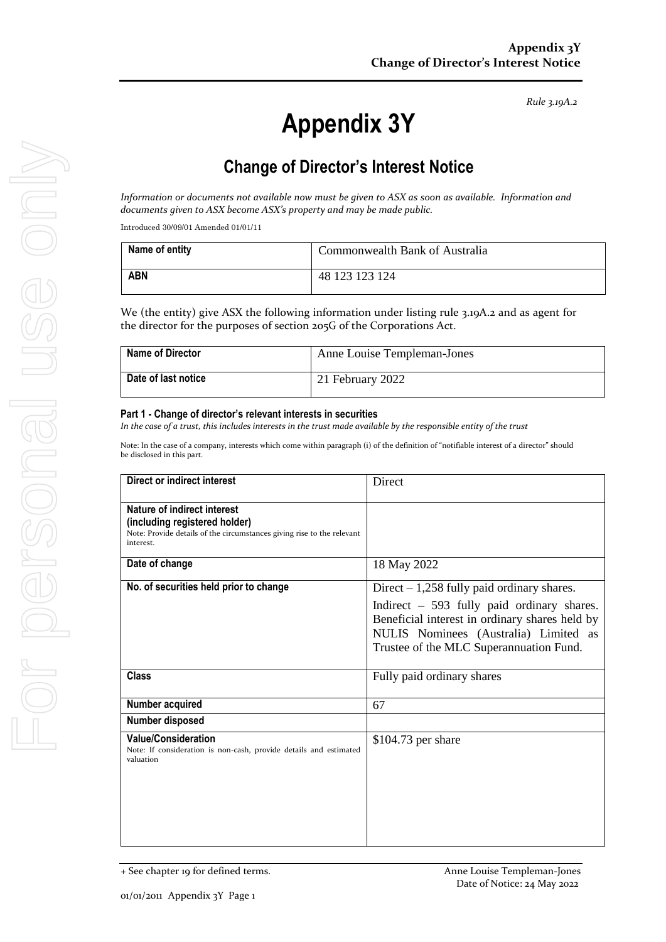*Rule 3.19A.2*

# **Appendix 3Y**

# **Change of Director's Interest Notice**

*Information or documents not available now must be given to ASX as soon as available. Information and documents given to ASX become ASX's property and may be made public.*

Introduced 30/09/01 Amended 01/01/11

| Name of entity | Commonwealth Bank of Australia |
|----------------|--------------------------------|
| <b>ABN</b>     | 48 123 123 124                 |

We (the entity) give ASX the following information under listing rule 3.19A.2 and as agent for the director for the purposes of section 205G of the Corporations Act.

| Name of Director    | Anne Louise Templeman-Jones |
|---------------------|-----------------------------|
| Date of last notice | 21 February 2022            |

#### **Part 1 - Change of director's relevant interests in securities**

*In the case of a trust, this includes interests in the trust made available by the responsible entity of the trust*

Note: In the case of a company, interests which come within paragraph (i) of the definition of "notifiable interest of a director" should be disclosed in this part.

| Direct or indirect interest                                                                                                                         | Direct                                                                                                                                                                                                                           |
|-----------------------------------------------------------------------------------------------------------------------------------------------------|----------------------------------------------------------------------------------------------------------------------------------------------------------------------------------------------------------------------------------|
| Nature of indirect interest<br>(including registered holder)<br>Note: Provide details of the circumstances giving rise to the relevant<br>interest. |                                                                                                                                                                                                                                  |
| Date of change                                                                                                                                      | 18 May 2022                                                                                                                                                                                                                      |
| No. of securities held prior to change                                                                                                              | Direct $-1,258$ fully paid ordinary shares.<br>Indirect $-593$ fully paid ordinary shares.<br>Beneficial interest in ordinary shares held by<br>NULIS Nominees (Australia) Limited as<br>Trustee of the MLC Superannuation Fund. |
| <b>Class</b>                                                                                                                                        | Fully paid ordinary shares                                                                                                                                                                                                       |
| Number acquired                                                                                                                                     | 67                                                                                                                                                                                                                               |
| Number disposed                                                                                                                                     |                                                                                                                                                                                                                                  |
| <b>Value/Consideration</b><br>Note: If consideration is non-cash, provide details and estimated<br>valuation                                        | $$104.73$ per share                                                                                                                                                                                                              |